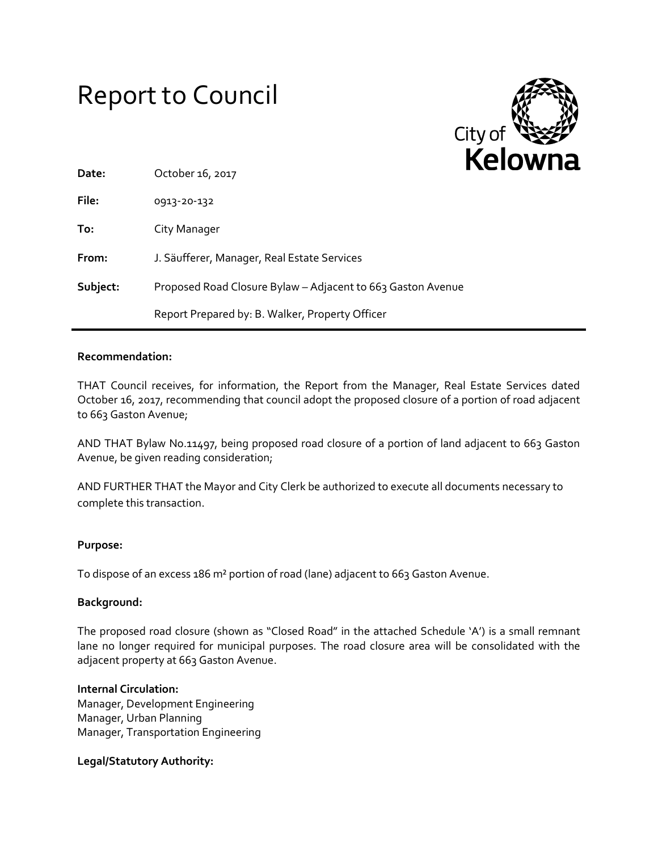# Report to Council



| Date:    | October 16, 2017                                            |
|----------|-------------------------------------------------------------|
| File:    | 0913-20-132                                                 |
| To:      | City Manager                                                |
| From:    | J. Säufferer, Manager, Real Estate Services                 |
| Subject: | Proposed Road Closure Bylaw - Adjacent to 663 Gaston Avenue |
|          | Report Prepared by: B. Walker, Property Officer             |

### **Recommendation:**

THAT Council receives, for information, the Report from the Manager, Real Estate Services dated October 16, 2017, recommending that council adopt the proposed closure of a portion of road adjacent to 663 Gaston Avenue;

AND THAT Bylaw No.11497, being proposed road closure of a portion of land adjacent to 663 Gaston Avenue, be given reading consideration;

AND FURTHER THAT the Mayor and City Clerk be authorized to execute all documents necessary to complete this transaction.

#### **Purpose:**

To dispose of an excess 186 m² portion of road (lane) adjacent to 663 Gaston Avenue.

#### **Background:**

The proposed road closure (shown as "Closed Road" in the attached Schedule 'A') is a small remnant lane no longer required for municipal purposes. The road closure area will be consolidated with the adjacent property at 663 Gaston Avenue.

#### **Internal Circulation:**

Manager, Development Engineering Manager, Urban Planning Manager, Transportation Engineering

#### **Legal/Statutory Authority:**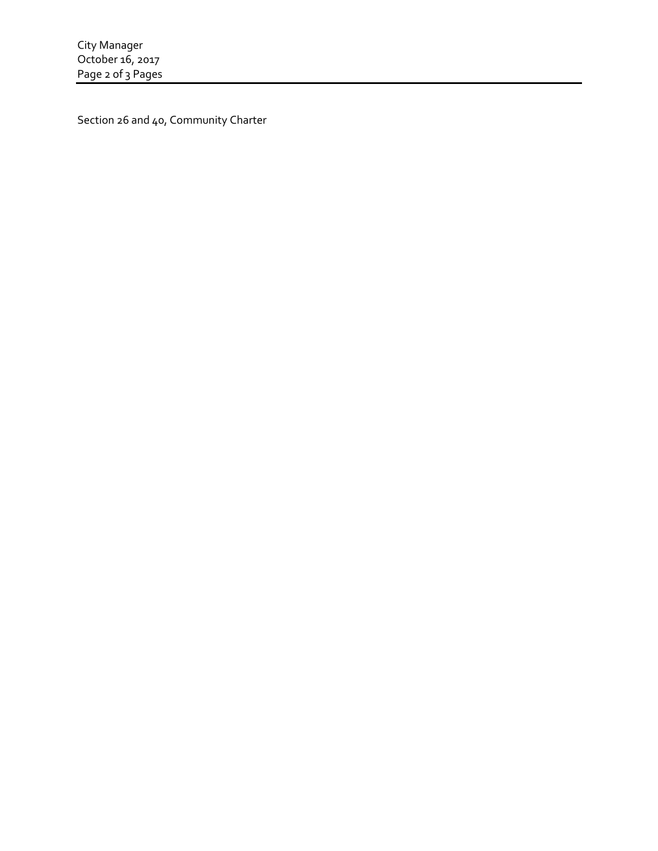Section 26 and 40, Community Charter